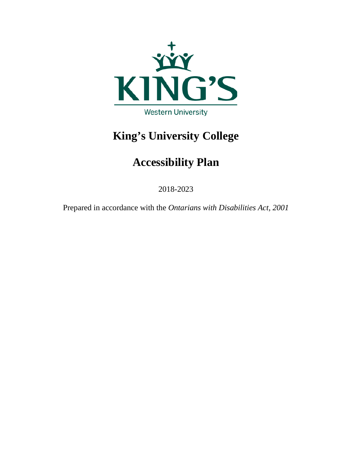

# **King's University College**

# **Accessibility Plan**

2018-2023

Prepared in accordance with the *Ontarians with Disabilities Act, 2001*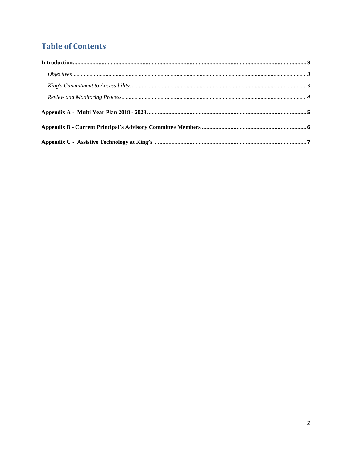# **Table of Contents**

| Objectives. 133 |  |
|-----------------|--|
|                 |  |
|                 |  |
|                 |  |
|                 |  |
|                 |  |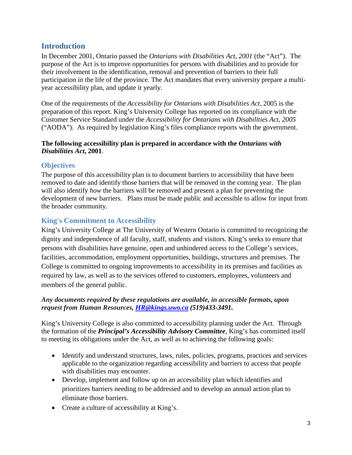### <span id="page-2-0"></span>**Introduction**

In December 2001, Ontario passed the *Ontarians with Disabilities Act, 2001* (the "Act"). The purpose of the Act is to improve opportunities for persons with disabilities and to provide for their involvement in the identification, removal and prevention of barriers to their full participation in the life of the province. The Act mandates that every university prepare a multiyear accessibility plan, and update it yearly.

One of the requirements of the *Accessibility for Ontarians with Disabilities Act,* 2005 is the preparation of this report. King's University College has reported on its compliance with the Customer Service Standard under the *Accessibility for Ontarians with Disabilities Act, 2005* ("AODA"). As required by legislation King's files compliance reports with the government.

#### **The following accessibility plan is prepared in accordance with the** *Ontarians with Disabilities Act***, 2001**.

#### <span id="page-2-1"></span>**Objectives**

The purpose of this accessibility plan is to document barriers to accessibility that have been removed to date and identify those barriers that will be removed in the coming year. The plan will also identify *how* the barriers will be removed and present a plan for preventing the development of new barriers. Plans must be made public and accessible to allow for input from the broader community.

#### <span id="page-2-2"></span>**King's Commitment to Accessibility**

King's University College at The University of Western Ontario is committed to recognizing the dignity and independence of all faculty, staff, students and visitors. King's seeks to ensure that persons with disabilities have genuine, open and unhindered access to the College's services, facilities, accommodation, employment opportunities, buildings, structures and premises. The College is committed to ongoing improvements to accessibility in its premises and facilities as required by law, as well as to the services offered to customers, employees, volunteers and members of the general public.

#### *Any documents required by these regulations are available, in accessible formats, upon request from Human Resources, [HR@kings.uwo.ca](mailto:HR@kings.uwo.ca) (519)433-3491.*

King's University College is also committed to accessibility planning under the Act. Through the formation of the *Principal's Accessibility Advisory Committee*, King's has committed itself to meeting its obligations under the Act, as well as to achieving the following goals:

- Identify and understand structures, laws, rules, policies, programs, practices and services applicable to the organization regarding accessibility and barriers to access that people with disabilities may encounter.
- Develop, implement and follow up on an accessibility plan which identifies and prioritizes barriers needing to be addressed and to develop an annual action plan to eliminate those barriers.
- Create a culture of accessibility at King's.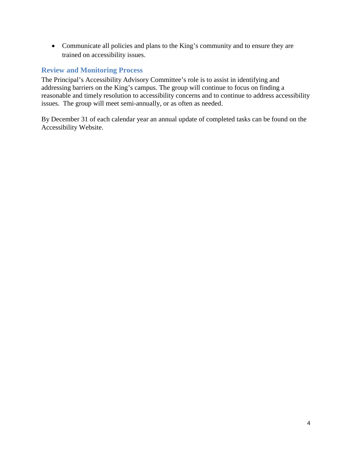• Communicate all policies and plans to the King's community and to ensure they are trained on accessibility issues.

#### <span id="page-3-0"></span>**Review and Monitoring Process**

The Principal's Accessibility Advisory Committee's role is to assist in identifying and addressing barriers on the King's campus. The group will continue to focus on finding a reasonable and timely resolution to accessibility concerns and to continue to address accessibility issues. The group will meet semi-annually, or as often as needed.

By December 31 of each calendar year an annual update of completed tasks can be found on the Accessibility Website.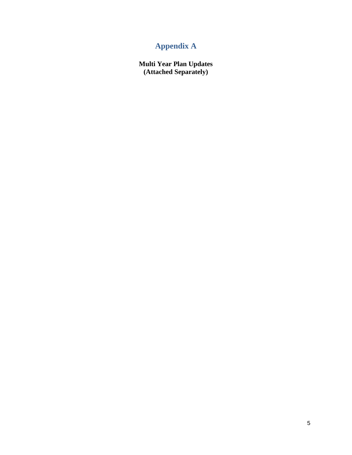## **Appendix A**

<span id="page-4-0"></span>**Multi Year Plan Updates (Attached Separately)**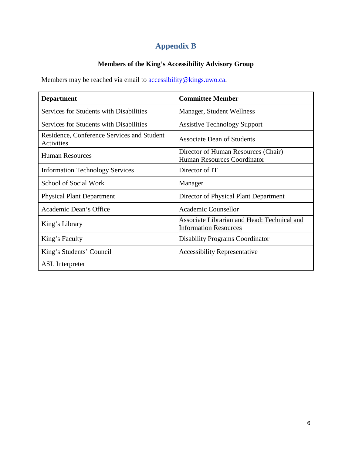## **Appendix B**

### **Members of the King's Accessibility Advisory Group**

<span id="page-5-0"></span>Members may be reached via email to **accessibility@kings.uwo.ca**.

| <b>Department</b>                                        | <b>Committee Member</b>                                                     |
|----------------------------------------------------------|-----------------------------------------------------------------------------|
| Services for Students with Disabilities                  | Manager, Student Wellness                                                   |
| Services for Students with Disabilities                  | <b>Assistive Technology Support</b>                                         |
| Residence, Conference Services and Student<br>Activities | <b>Associate Dean of Students</b>                                           |
| <b>Human Resources</b>                                   | Director of Human Resources (Chair)<br><b>Human Resources Coordinator</b>   |
| <b>Information Technology Services</b>                   | Director of IT                                                              |
| <b>School of Social Work</b>                             | Manager                                                                     |
| <b>Physical Plant Department</b>                         | Director of Physical Plant Department                                       |
| Academic Dean's Office                                   | Academic Counsellor                                                         |
| King's Library                                           | Associate Librarian and Head: Technical and<br><b>Information Resources</b> |
| King's Faculty                                           | <b>Disability Programs Coordinator</b>                                      |
| King's Students' Council                                 | <b>Accessibility Representative</b>                                         |
| <b>ASL</b> Interpreter                                   |                                                                             |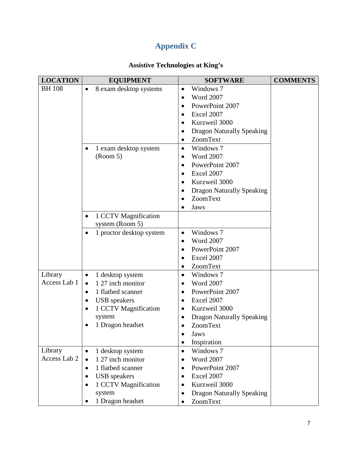## **Appendix C**

### **Assistive Technologies at King's**

<span id="page-6-0"></span>

| <b>LOCATION</b> | <b>EQUIPMENT</b>                      | <b>SOFTWARE</b>                               | <b>COMMENTS</b> |
|-----------------|---------------------------------------|-----------------------------------------------|-----------------|
| <b>BH</b> 108   | 8 exam desktop systems<br>$\bullet$   | Windows 7<br>$\bullet$                        |                 |
|                 |                                       | <b>Word 2007</b><br>$\bullet$                 |                 |
|                 |                                       | PowerPoint 2007<br>$\bullet$                  |                 |
|                 |                                       | Excel 2007<br>$\bullet$                       |                 |
|                 |                                       | Kurzweil 3000<br>$\bullet$                    |                 |
|                 |                                       | <b>Dragon Naturally Speaking</b><br>٠         |                 |
|                 |                                       | ZoomText<br>$\bullet$                         |                 |
|                 | 1 exam desktop system                 | Windows 7<br>$\bullet$                        |                 |
|                 | (Room 5)                              | <b>Word 2007</b><br>$\bullet$                 |                 |
|                 |                                       | PowerPoint 2007<br>$\bullet$                  |                 |
|                 |                                       | Excel 2007<br>$\bullet$                       |                 |
|                 |                                       | Kurzweil 3000                                 |                 |
|                 |                                       | <b>Dragon Naturally Speaking</b><br>$\bullet$ |                 |
|                 |                                       | ZoomText<br>$\bullet$                         |                 |
|                 |                                       | Jaws                                          |                 |
|                 | 1 CCTV Magnification<br>$\bullet$     |                                               |                 |
|                 | system (Room 5)                       |                                               |                 |
|                 | 1 proctor desktop system<br>$\bullet$ | Windows 7<br>$\bullet$                        |                 |
|                 |                                       | <b>Word 2007</b><br>$\bullet$                 |                 |
|                 |                                       | PowerPoint 2007<br>٠                          |                 |
|                 |                                       | Excel 2007<br>٠                               |                 |
|                 |                                       | ZoomText                                      |                 |
| Library         | 1 desktop system<br>$\bullet$         | Windows 7<br>$\bullet$                        |                 |
| Access Lab 1    | 1 27 inch monitor<br>$\bullet$        | <b>Word 2007</b><br>$\bullet$                 |                 |
|                 | 1 flatbed scanner<br>$\bullet$        | PowerPoint 2007<br>$\bullet$                  |                 |
|                 | <b>USB</b> speakers<br>$\bullet$      | Excel 2007                                    |                 |
|                 | 1 CCTV Magnification<br>$\bullet$     | Kurzweil 3000<br>$\bullet$                    |                 |
|                 | system                                | <b>Dragon Naturally Speaking</b><br>$\bullet$ |                 |
|                 | 1 Dragon headset                      | ZoomText<br>$\bullet$                         |                 |
|                 |                                       | Jaws                                          |                 |
|                 |                                       | Inspiration<br>$\bullet$                      |                 |
| Library         | 1 desktop system<br>$\bullet$         | Windows 7<br>$\bullet$                        |                 |
| Access Lab 2    | 1 27 inch monitor<br>$\bullet$        | <b>Word 2007</b><br>٠                         |                 |
|                 | 1 flatbed scanner<br>$\bullet$        | PowerPoint 2007<br>$\bullet$                  |                 |
|                 | <b>USB</b> speakers<br>$\bullet$      | Excel 2007<br>$\bullet$                       |                 |
|                 | 1 CCTV Magnification<br>$\bullet$     | Kurzweil 3000<br>$\bullet$                    |                 |
|                 | system                                | <b>Dragon Naturally Speaking</b><br>$\bullet$ |                 |
|                 | 1 Dragon headset                      | ZoomText                                      |                 |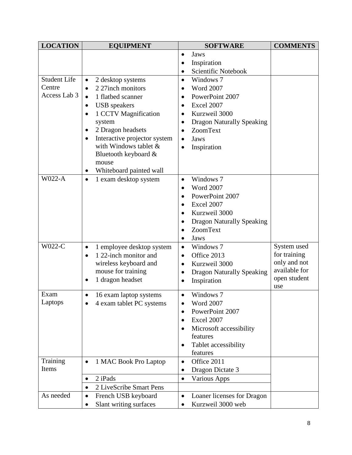| <b>LOCATION</b>     | <b>EQUIPMENT</b>                          | <b>SOFTWARE</b>                               | <b>COMMENTS</b> |
|---------------------|-------------------------------------------|-----------------------------------------------|-----------------|
|                     |                                           | Jaws<br>$\bullet$                             |                 |
|                     |                                           | Inspiration<br>$\bullet$                      |                 |
|                     |                                           | Scientific Notebook                           |                 |
| <b>Student Life</b> | 2 desktop systems<br>$\bullet$            | Windows 7<br>$\bullet$                        |                 |
| Centre              | 2 27inch monitors<br>$\bullet$            | <b>Word 2007</b><br>$\bullet$                 |                 |
| Access Lab 3        | 1 flatbed scanner<br>$\bullet$            | PowerPoint 2007<br>$\bullet$                  |                 |
|                     | <b>USB</b> speakers<br>$\bullet$          | Excel 2007<br>$\bullet$                       |                 |
|                     | 1 CCTV Magnification                      | Kurzweil 3000                                 |                 |
|                     | system                                    | <b>Dragon Naturally Speaking</b><br>$\bullet$ |                 |
|                     | 2 Dragon headsets                         | ZoomText<br>$\bullet$                         |                 |
|                     | Interactive projector system<br>$\bullet$ | Jaws<br>$\bullet$                             |                 |
|                     | with Windows tablet &                     | Inspiration<br>$\bullet$                      |                 |
|                     | Bluetooth keyboard &                      |                                               |                 |
|                     | mouse                                     |                                               |                 |
|                     | Whiteboard painted wall                   |                                               |                 |
| <b>W022-A</b>       | 1 exam desktop system<br>$\bullet$        | Windows 7<br>$\bullet$                        |                 |
|                     |                                           | <b>Word 2007</b><br>$\bullet$                 |                 |
|                     |                                           | PowerPoint 2007                               |                 |
|                     |                                           | Excel 2007<br>$\bullet$                       |                 |
|                     |                                           | Kurzweil 3000<br>$\bullet$                    |                 |
|                     |                                           | <b>Dragon Naturally Speaking</b><br>٠         |                 |
|                     |                                           | ZoomText                                      |                 |
|                     |                                           | Jaws<br>$\bullet$                             |                 |
| W022-C              | 1 employee desktop system<br>$\bullet$    | Windows 7<br>$\bullet$                        | System used     |
|                     | 1 22-inch monitor and<br>$\bullet$        | Office 2013<br>$\bullet$                      | for training    |
|                     | wireless keyboard and                     | Kurzweil 3000<br>$\bullet$                    | only and not    |
|                     | mouse for training                        | <b>Dragon Naturally Speaking</b><br>$\bullet$ | available for   |
|                     | 1 dragon headset                          | Inspiration<br>$\bullet$                      | open student    |
| Exam                | 16 exam laptop systems<br>$\bullet$       | Windows 7<br>$\bullet$                        | use             |
| Laptops             | 4 exam tablet PC systems                  | <b>Word 2007</b><br>$\bullet$                 |                 |
|                     |                                           | PowerPoint 2007                               |                 |
|                     |                                           | Excel 2007<br>$\bullet$                       |                 |
|                     |                                           | Microsoft accessibility<br>$\bullet$          |                 |
|                     |                                           | features                                      |                 |
|                     |                                           | Tablet accessibility<br>$\bullet$             |                 |
|                     |                                           | features                                      |                 |
| Training            | 1 MAC Book Pro Laptop<br>$\bullet$        | Office 2011<br>$\bullet$                      |                 |
| Items               |                                           | Dragon Dictate 3<br>$\bullet$                 |                 |
|                     | 2 iPads<br>$\bullet$                      | Various Apps<br>$\bullet$                     |                 |
|                     | 2 LiveScribe Smart Pens<br>$\bullet$      |                                               |                 |
| As needed           | French USB keyboard<br>$\bullet$          | Loaner licenses for Dragon<br>$\bullet$       |                 |
|                     | Slant writing surfaces                    | Kurzweil 3000 web                             |                 |
|                     |                                           |                                               |                 |